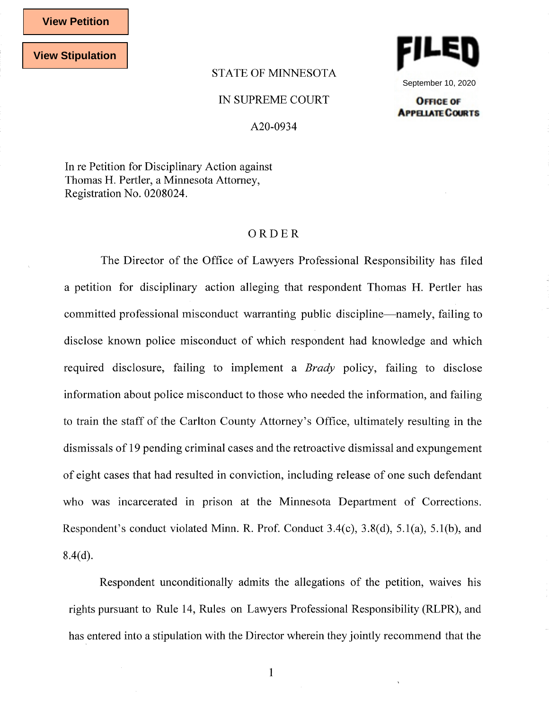**View Petition**

**View Stipulation**

## STATE OF MINNESOTA



September 10, 2020 **OFFICE OF** 

**APPELIATE COURTS** 

## IN SUPREME COURT

A20-0934

In re Petition for Disciplinary Action against Thomas H. Pertler, a Minnesota Attorney, Registration No. 0208024.

## ORDER

The Director of the Office of Lawyers Professional Responsibility has filed a petition for disciplinary action alleging that respondent Thomas H. Pertler has committed professional misconduct warranting public discipline—namely, failing to disclose known police misconduct of which respondent had knowledge and which required disclosure, failing to implement a *Brady* policy, failing to disclose information about police misconduct to those who needed the information, and failing to train the staff of the Carlton County Attorney's Office, ultimately resulting in the dismissals of 19 pending criminal cases and the retroactive dismissal and expungement of eight cases that had resulted in conviction, including release of one such defendant who was incarcerated in prison at the Minnesota Department of Corrections. Respondent's conduct violated Minn. R. Prof. Conduct 3.4(c), 3.8(d), 5.l(a), 5.l(b), and  $8.4(d)$ .

Respondent unconditionally admits the allegations of the petition, waives his rights pursuant to Rule 14, Rules on Lawyers Professional Responsibility (RLPR), and has entered into a stipulation with the Director wherein they jointly recommend that the

1